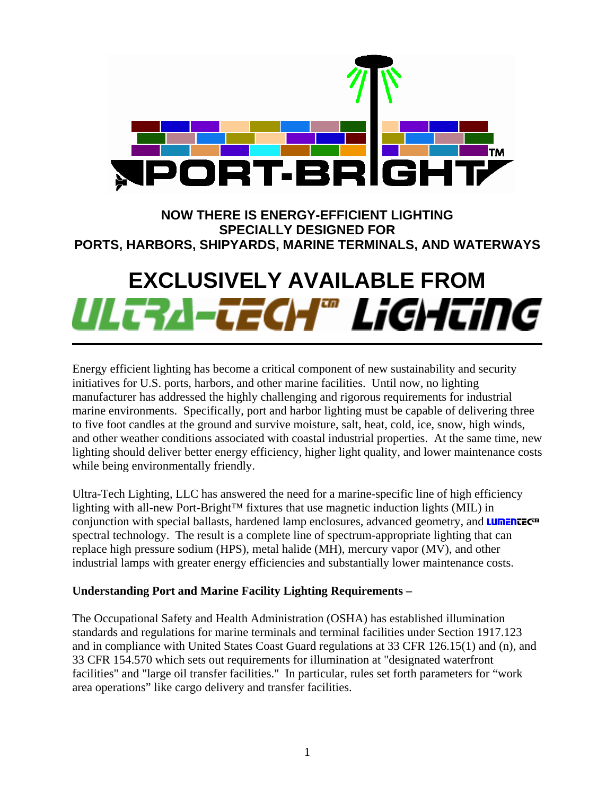

**NOW THERE IS ENERGY-EFFICIENT LIGHTING SPECIALLY DESIGNED FOR PORTS, HARBORS, SHIPYARDS, MARINE TERMINALS, AND WATERWAYS** 

# EXCLUSIVELY AVAILABLE FROM<br>**IIILLRAI-LECH<sup>T</sup> LIGHLING**

Energy efficient lighting has become a critical component of new sustainability and security initiatives for U.S. ports, harbors, and other marine facilities. Until now, no lighting manufacturer has addressed the highly challenging and rigorous requirements for industrial marine environments. Specifically, port and harbor lighting must be capable of delivering three to five foot candles at the ground and survive moisture, salt, heat, cold, ice, snow, high winds, and other weather conditions associated with coastal industrial properties. At the same time, new lighting should deliver better energy efficiency, higher light quality, and lower maintenance costs while being environmentally friendly.

Ultra-Tech Lighting, LLC has answered the need for a marine-specific line of high efficiency lighting with all-new Port-Bright™ fixtures that use magnetic induction lights (MIL) in conjunction with special ballasts, hardened lamp enclosures, advanced geometry, and **LUMENTEC**<sup>m</sup> spectral technology. The result is a complete line of spectrum-appropriate lighting that can replace high pressure sodium (HPS), metal halide (MH), mercury vapor (MV), and other industrial lamps with greater energy efficiencies and substantially lower maintenance costs.

## **Understanding Port and Marine Facility Lighting Requirements –**

The Occupational Safety and Health Administration (OSHA) has established illumination standards and regulations for marine terminals and terminal facilities under Section 1917.123 and in compliance with United States Coast Guard regulations at 33 CFR 126.15(1) and (n), and 33 CFR 154.570 which sets out requirements for illumination at "designated waterfront facilities" and "large oil transfer facilities." In particular, rules set forth parameters for "work area operations" like cargo delivery and transfer facilities.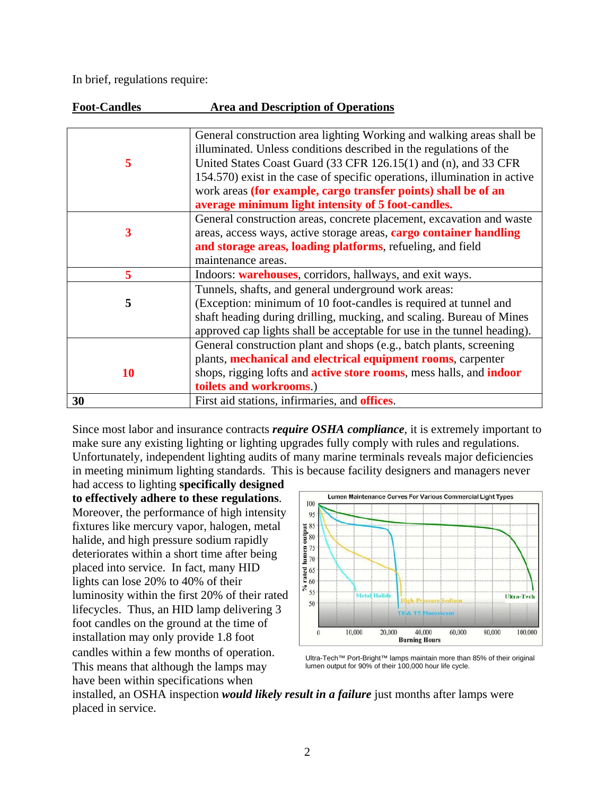In brief, regulations require:

| <b>Foot-Candles</b> | <b>Area and Description of Operations</b>                                          |
|---------------------|------------------------------------------------------------------------------------|
|                     |                                                                                    |
|                     | General construction area lighting Working and walking areas shall be              |
|                     | illuminated. Unless conditions described in the regulations of the                 |
| 5                   | United States Coast Guard (33 CFR 126.15(1) and (n), and 33 CFR                    |
|                     | 154.570) exist in the case of specific operations, illumination in active          |
|                     | work areas (for example, cargo transfer points) shall be of an                     |
|                     | average minimum light intensity of 5 foot-candles.                                 |
|                     | General construction areas, concrete placement, excavation and waste               |
| 3                   | areas, access ways, active storage areas, cargo container handling                 |
|                     | and storage areas, loading platforms, refueling, and field                         |
|                     | maintenance areas.                                                                 |
| 5                   | Indoors: warehouses, corridors, hallways, and exit ways.                           |
|                     | Tunnels, shafts, and general underground work areas:                               |
| 5                   | (Exception: minimum of 10 foot-candles is required at tunnel and                   |
|                     | shaft heading during drilling, mucking, and scaling. Bureau of Mines               |
|                     | approved cap lights shall be acceptable for use in the tunnel heading).            |
|                     | General construction plant and shops (e.g., batch plants, screening                |
|                     | plants, mechanical and electrical equipment rooms, carpenter                       |
| 10                  | shops, rigging lofts and <b>active store rooms</b> , mess halls, and <b>indoor</b> |
|                     | toilets and workrooms.)                                                            |
| 30                  | First aid stations, infirmaries, and <b>offices</b> .                              |

Since most labor and insurance contracts *require OSHA compliance*, it is extremely important to make sure any existing lighting or lighting upgrades fully comply with rules and regulations. Unfortunately, independent lighting audits of many marine terminals reveals major deficiencies in meeting minimum lighting standards. This is because facility designers and managers never

had access to lighting **specifically designed to effectively adhere to these regulations**. Moreover, the performance of high intensity fixtures like mercury vapor, halogen, metal halide, and high pressure sodium rapidly deteriorates within a short time after being placed into service. In fact, many HID lights can lose 20% to 40% of their luminosity within the first 20% of their rated lifecycles. Thus, an HID lamp delivering 3 foot candles on the ground at the time of installation may only provide 1.8 foot candles within a few months of operation. This means that although the lamps may have been within specifications when



Ultra-Tech™ Port-Bright™ lamps maintain more than 85% of their original lumen output for 90% of their 100,000 hour life cycle.

installed, an OSHA inspection *would likely result in a failure* just months after lamps were placed in service.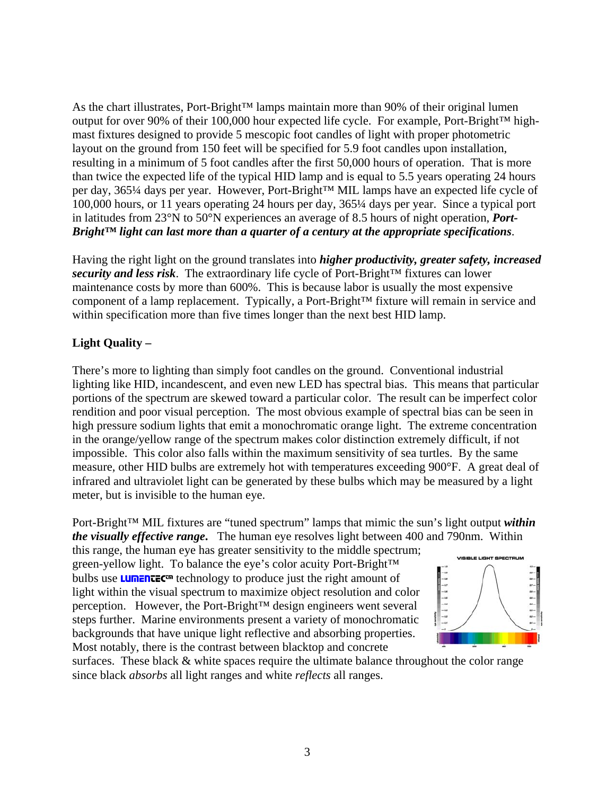As the chart illustrates, Port-Bright™ lamps maintain more than 90% of their original lumen output for over 90% of their 100,000 hour expected life cycle. For example, Port-Bright™ highmast fixtures designed to provide 5 mescopic foot candles of light with proper photometric layout on the ground from 150 feet will be specified for 5.9 foot candles upon installation, resulting in a minimum of 5 foot candles after the first 50,000 hours of operation. That is more than twice the expected life of the typical HID lamp and is equal to 5.5 years operating 24 hours per day, 365¼ days per year. However, Port-Bright™ MIL lamps have an expected life cycle of 100,000 hours, or 11 years operating 24 hours per day, 365¼ days per year. Since a typical port in latitudes from 23°N to 50°N experiences an average of 8.5 hours of night operation, *Port-Bright™ light can last more than a quarter of a century at the appropriate specifications*.

Having the right light on the ground translates into *higher productivity, greater safety, increased security and less risk*. The extraordinary life cycle of Port-Bright™ fixtures can lower maintenance costs by more than 600%. This is because labor is usually the most expensive component of a lamp replacement. Typically, a Port-Bright™ fixture will remain in service and within specification more than five times longer than the next best HID lamp.

# **Light Quality –**

There's more to lighting than simply foot candles on the ground. Conventional industrial lighting like HID, incandescent, and even new LED has spectral bias. This means that particular portions of the spectrum are skewed toward a particular color. The result can be imperfect color rendition and poor visual perception. The most obvious example of spectral bias can be seen in high pressure sodium lights that emit a monochromatic orange light. The extreme concentration in the orange/yellow range of the spectrum makes color distinction extremely difficult, if not impossible. This color also falls within the maximum sensitivity of sea turtles. By the same measure, other HID bulbs are extremely hot with temperatures exceeding 900°F. A great deal of infrared and ultraviolet light can be generated by these bulbs which may be measured by a light meter, but is invisible to the human eye.

Port-Bright™ MIL fixtures are "tuned spectrum" lamps that mimic the sun's light output *within the visually effective range***.** The human eye resolves light between 400 and 790nm. Within

this range, the human eye has greater sensitivity to the middle spectrum; green-yellow light. To balance the eye's color acuity Port-Bright™ bulbs use **LUMENTEC**<sup>I</sup> technology to produce just the right amount of light within the visual spectrum to maximize object resolution and color perception. However, the Port-Bright™ design engineers went several steps further. Marine environments present a variety of monochromatic backgrounds that have unique light reflective and absorbing properties. Most notably, there is the contrast between blacktop and concrete



surfaces. These black  $&$  white spaces require the ultimate balance throughout the color range since black *absorbs* all light ranges and white *reflects* all ranges.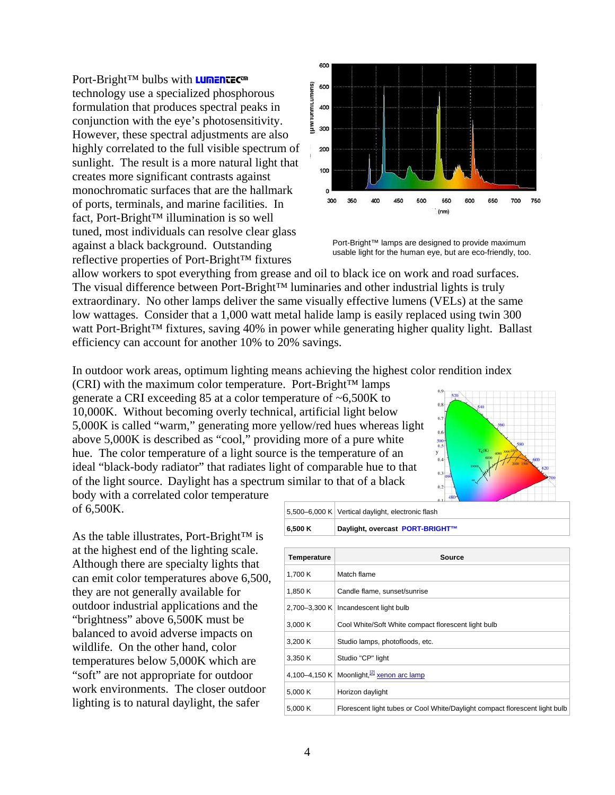Port-Bright™ bulbs with **LUMENTEC™** technology use a specialized phosphorous formulation that produces spectral peaks in conjunction with the eye's photosensitivity. However, these spectral adjustments are also highly correlated to the full visible spectrum of sunlight. The result is a more natural light that creates more significant contrasts against monochromatic surfaces that are the hallmark of ports, terminals, and marine facilities. In fact, Port-Bright™ illumination is so well tuned, most individuals can resolve clear glass against a black background. Outstanding reflective properties of Port-Bright™ fixtures



Port-Bright™ lamps are designed to provide maximum usable light for the human eye, but are eco-friendly, too.

allow workers to spot everything from grease and oil to black ice on work and road surfaces. The visual difference between Port-Bright™ luminaries and other industrial lights is truly extraordinary. No other lamps deliver the same visually effective lumens (VELs) at the same low wattages. Consider that a 1,000 watt metal halide lamp is easily replaced using twin 300 watt Port-Bright<sup>™</sup> fixtures, saving 40% in power while generating higher quality light. Ballast efficiency can account for another 10% to 20% savings.

In outdoor work areas, optimum lighting means achieving the highest color rendition index

 $(CRI)$  with the maximum color temperature. Port-Bright<sup>™</sup> lamps generate a CRI exceeding 85 at a color temperature of ~6,500K to 10,000K. Without becoming overly technical, artificial light below 5,000K is called "warm," generating more yellow/red hues whereas light above 5,000K is described as "cool," providing more of a pure white hue. The color temperature of a light source is the temperature of an ideal "black-body radiator" that radiates light of comparable hue to that of the light source. Daylight has a spectrum similar to that of a black



body with a correlated color temperature of 6,500K.

As the table illustrates, Port-Bright™ is at the highest end of the lighting scale. Although there are specialty lights that can emit color temperatures above 6,500, they are not generally available for outdoor industrial applications and the "brightness" above 6,500K must be balanced to avoid adverse impacts on wildlife. On the other hand, color temperatures below 5,000K which are "soft" are not appropriate for outdoor work environments. The closer outdoor lighting is to natural daylight, the safer

| 6.500 K | Daylight, overcast PORT-BRIGHT™                   |  |
|---------|---------------------------------------------------|--|
|         | 5,500–6,000 K Vertical daylight, electronic flash |  |

| Temperature | Source                                                                      |
|-------------|-----------------------------------------------------------------------------|
| 1,700 K     | Match flame                                                                 |
| 1,850 K     | Candle flame, sunset/sunrise                                                |
|             | 2,700-3,300 K   Incandescent light bulb                                     |
| 3,000K      | Cool White/Soft White compact florescent light bulb                         |
| 3,200 K     | Studio lamps, photofloods, etc.                                             |
| 3,350 K     | Studio "CP" light                                                           |
|             | 4,100-4,150 K Moonlight, $^{[2]}$ xenon arc lamp                            |
| 5,000 K     | Horizon daylight                                                            |
| 5,000 K     | Florescent light tubes or Cool White/Daylight compact florescent light bulb |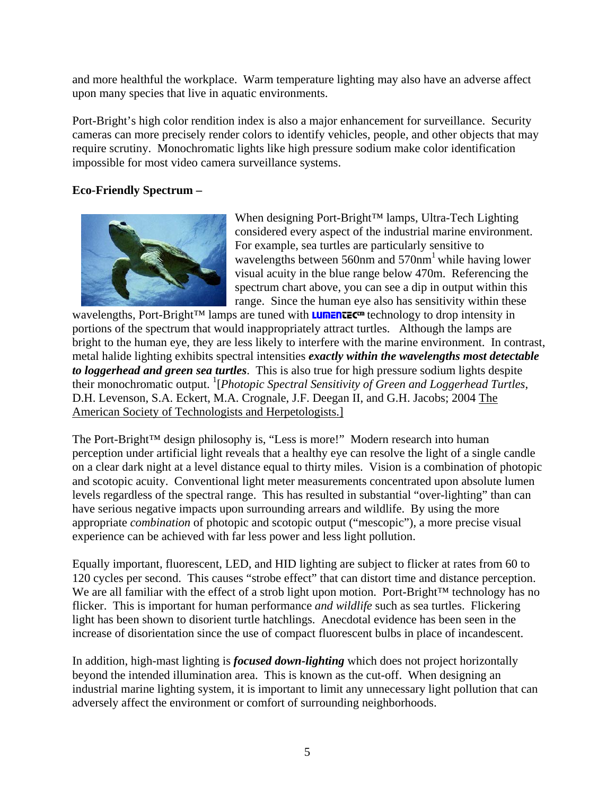and more healthful the workplace. Warm temperature lighting may also have an adverse affect upon many species that live in aquatic environments.

Port-Bright's high color rendition index is also a major enhancement for surveillance. Security cameras can more precisely render colors to identify vehicles, people, and other objects that may require scrutiny. Monochromatic lights like high pressure sodium make color identification impossible for most video camera surveillance systems.

## **Eco-Friendly Spectrum –**



When designing Port-Bright™ lamps, Ultra-Tech Lighting considered every aspect of the industrial marine environment. For example, sea turtles are particularly sensitive to wavelengths between 560nm and  $570$ nm<sup>1</sup> while having lower visual acuity in the blue range below 470m. Referencing the spectrum chart above, you can see a dip in output within this range. Since the human eye also has sensitivity within these

wavelengths, Port-Bright™ lamps are tuned with **LUMENTEC™** technology to drop intensity in portions of the spectrum that would inappropriately attract turtles. Although the lamps are bright to the human eye, they are less likely to interfere with the marine environment. In contrast, metal halide lighting exhibits spectral intensities *exactly within the wavelengths most detectable to loggerhead and green sea turtles*. This is also true for high pressure sodium lights despite their monochromatic output. <sup>1</sup>[Photopic Spectral Sensitivity of Green and Loggerhead Turtles, D.H. Levenson, S.A. Eckert, M.A. Crognale, J.F. Deegan II, and G.H. Jacobs; 2004 The American Society of Technologists and Herpetologists.]

The Port-Bright™ design philosophy is, "Less is more!" Modern research into human perception under artificial light reveals that a healthy eye can resolve the light of a single candle on a clear dark night at a level distance equal to thirty miles. Vision is a combination of photopic and scotopic acuity. Conventional light meter measurements concentrated upon absolute lumen levels regardless of the spectral range. This has resulted in substantial "over-lighting" than can have serious negative impacts upon surrounding arrears and wildlife. By using the more appropriate *combination* of photopic and scotopic output ("mescopic"), a more precise visual experience can be achieved with far less power and less light pollution.

Equally important, fluorescent, LED, and HID lighting are subject to flicker at rates from 60 to 120 cycles per second. This causes "strobe effect" that can distort time and distance perception. We are all familiar with the effect of a strob light upon motion. Port-Bright™ technology has no flicker. This is important for human performance *and wildlife* such as sea turtles. Flickering light has been shown to disorient turtle hatchlings. Anecdotal evidence has been seen in the increase of disorientation since the use of compact fluorescent bulbs in place of incandescent.

In addition, high-mast lighting is *focused down-lighting* which does not project horizontally beyond the intended illumination area. This is known as the cut-off. When designing an industrial marine lighting system, it is important to limit any unnecessary light pollution that can adversely affect the environment or comfort of surrounding neighborhoods.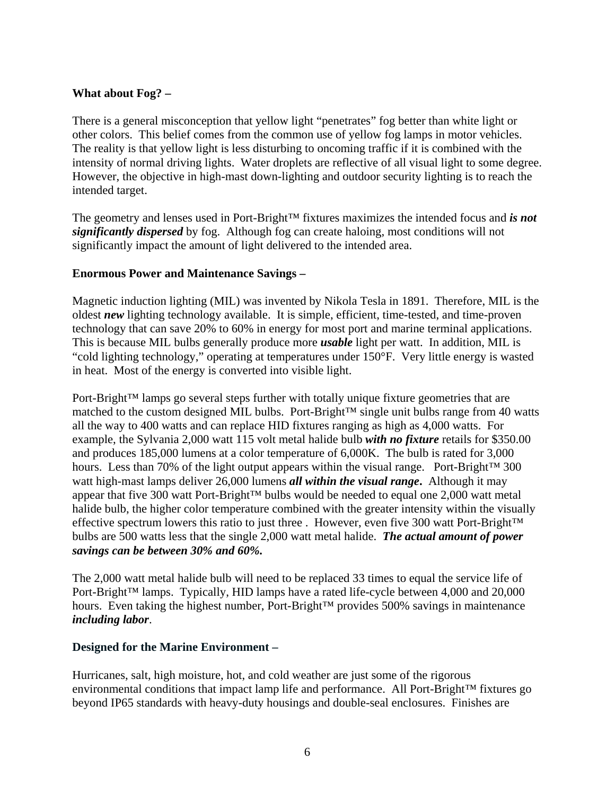## **What about Fog? –**

There is a general misconception that yellow light "penetrates" fog better than white light or other colors. This belief comes from the common use of yellow fog lamps in motor vehicles. The reality is that yellow light is less disturbing to oncoming traffic if it is combined with the intensity of normal driving lights. Water droplets are reflective of all visual light to some degree. However, the objective in high-mast down-lighting and outdoor security lighting is to reach the intended target.

The geometry and lenses used in Port-Bright™ fixtures maximizes the intended focus and *is not significantly dispersed* by fog. Although fog can create haloing, most conditions will not significantly impact the amount of light delivered to the intended area.

### **Enormous Power and Maintenance Savings –**

Magnetic induction lighting (MIL) was invented by Nikola Tesla in 1891. Therefore, MIL is the oldest *new* lighting technology available. It is simple, efficient, time-tested, and time-proven technology that can save 20% to 60% in energy for most port and marine terminal applications. This is because MIL bulbs generally produce more *usable* light per watt. In addition, MIL is "cold lighting technology," operating at temperatures under 150°F. Very little energy is wasted in heat. Most of the energy is converted into visible light.

Port-Bright™ lamps go several steps further with totally unique fixture geometries that are matched to the custom designed MIL bulbs. Port-Bright™ single unit bulbs range from 40 watts all the way to 400 watts and can replace HID fixtures ranging as high as 4,000 watts. For example, the Sylvania 2,000 watt 115 volt metal halide bulb *with no fixture* retails for \$350.00 and produces 185,000 lumens at a color temperature of 6,000K. The bulb is rated for 3,000 hours. Less than 70% of the light output appears within the visual range. Port-Bright<sup>™</sup> 300 watt high-mast lamps deliver 26,000 lumens *all within the visual range***.** Although it may appear that five 300 watt Port-Bright™ bulbs would be needed to equal one 2,000 watt metal halide bulb, the higher color temperature combined with the greater intensity within the visually effective spectrum lowers this ratio to just three . However, even five 300 watt Port-Bright™ bulbs are 500 watts less that the single 2,000 watt metal halide. *The actual amount of power savings can be between 30% and 60%.* 

The 2,000 watt metal halide bulb will need to be replaced 33 times to equal the service life of Port-Bright<sup>™</sup> lamps. Typically, HID lamps have a rated life-cycle between 4,000 and 20,000 hours. Even taking the highest number, Port-Bright™ provides 500% savings in maintenance *including labor*.

### **Designed for the Marine Environment –**

Hurricanes, salt, high moisture, hot, and cold weather are just some of the rigorous environmental conditions that impact lamp life and performance. All Port-Bright™ fixtures go beyond IP65 standards with heavy-duty housings and double-seal enclosures. Finishes are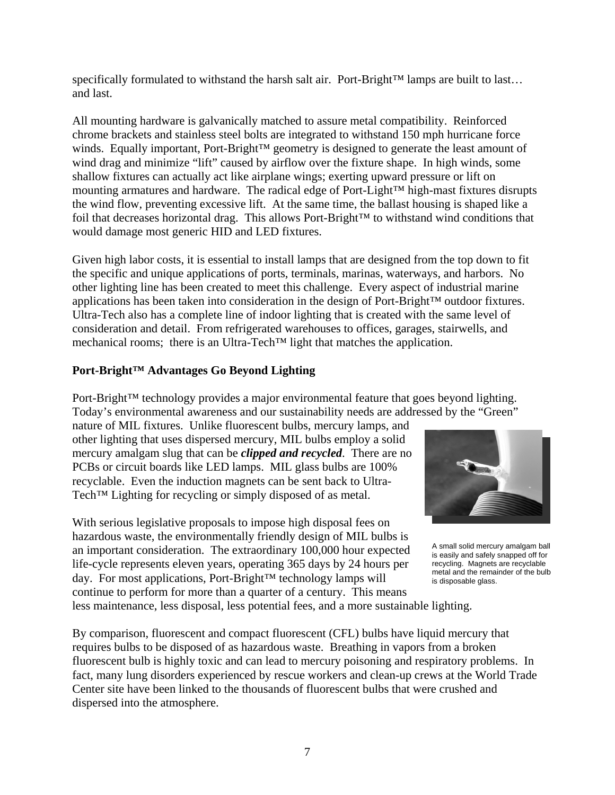specifically formulated to withstand the harsh salt air. Port-Bright™ lamps are built to last... and last.

All mounting hardware is galvanically matched to assure metal compatibility. Reinforced chrome brackets and stainless steel bolts are integrated to withstand 150 mph hurricane force winds. Equally important, Port-Bright™ geometry is designed to generate the least amount of wind drag and minimize "lift" caused by airflow over the fixture shape. In high winds, some shallow fixtures can actually act like airplane wings; exerting upward pressure or lift on mounting armatures and hardware. The radical edge of Port-Light™ high-mast fixtures disrupts the wind flow, preventing excessive lift. At the same time, the ballast housing is shaped like a foil that decreases horizontal drag. This allows Port-Bright™ to withstand wind conditions that would damage most generic HID and LED fixtures.

Given high labor costs, it is essential to install lamps that are designed from the top down to fit the specific and unique applications of ports, terminals, marinas, waterways, and harbors. No other lighting line has been created to meet this challenge. Every aspect of industrial marine applications has been taken into consideration in the design of Port-Bright™ outdoor fixtures. Ultra-Tech also has a complete line of indoor lighting that is created with the same level of consideration and detail. From refrigerated warehouses to offices, garages, stairwells, and mechanical rooms; there is an Ultra-Tech™ light that matches the application.

## **Port-Bright™ Advantages Go Beyond Lighting**

Port-Bright™ technology provides a major environmental feature that goes beyond lighting. Today's environmental awareness and our sustainability needs are addressed by the "Green"

nature of MIL fixtures. Unlike fluorescent bulbs, mercury lamps, and other lighting that uses dispersed mercury, MIL bulbs employ a solid mercury amalgam slug that can be *clipped and recycled*. There are no PCBs or circuit boards like LED lamps. MIL glass bulbs are 100% recyclable. Even the induction magnets can be sent back to Ultra-Tech<sup>™</sup> Lighting for recycling or simply disposed of as metal.

With serious legislative proposals to impose high disposal fees on hazardous waste, the environmentally friendly design of MIL bulbs is an important consideration. The extraordinary 100,000 hour expected life-cycle represents eleven years, operating 365 days by 24 hours per day. For most applications, Port-Bright™ technology lamps will continue to perform for more than a quarter of a century. This means less maintenance, less disposal, less potential fees, and a more sustainable lighting.



A small solid mercury amalgam ball is easily and safely snapped off for recycling. Magnets are recyclable metal and the remainder of the bulb is disposable glass.

By comparison, fluorescent and compact fluorescent (CFL) bulbs have liquid mercury that requires bulbs to be disposed of as hazardous waste. Breathing in vapors from a broken fluorescent bulb is highly toxic and can lead to mercury poisoning and respiratory problems. In fact, many lung disorders experienced by rescue workers and clean-up crews at the World Trade Center site have been linked to the thousands of fluorescent bulbs that were crushed and dispersed into the atmosphere.